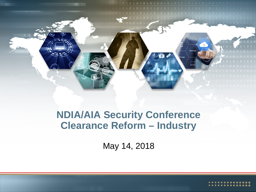

#### **NDIA/AIA Security Conference Clearance Reform – Industry**

May 14, 2018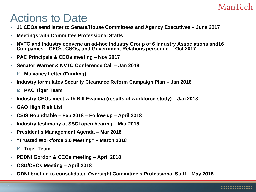### Actions to Date

- **11 CEOs send letter to Senate/House Committees and Agency Executives – June 2017**
- **Meetings with Committee Professional Staffs**
- **NVTC and Industry convene an ad-hoc Industry Group of 6 Industry Associations and16 Companies – CEOs, CSOs, and Government Relations personnel – Oct 2017**
- **PAC Principals & CEOs meeting – Nov 2017**
- **Senator Warner & NVTC Conference Call – Jan 2018**
	- **Mulvaney Letter (Funding)**
- **Industry formulates Security Clearance Reform Campaign Plan – Jan 2018**
	- **PAC Tiger Team**
- **Industry CEOs meet with Bill Evanina (results of workforce study) – Jan 2018**
- **GAO High Risk List**
- **CSIS Roundtable – Feb 2018 – Follow-up – April 2018**
- **Industry testimony at SSCI open hearing – Mar 2018**
- **President's Management Agenda – Mar 2018**
- **"Trusted Workforce 2.0 Meeting" – March 2018**
	- **Tiger Team**
- **PDDNI Gordon & CEOs meeting – April 2018**
- **OSD/CEOs Meeting – April 2018**
- **ODNI briefing to consolidated Oversight Committee's Professional Staff – May 2018**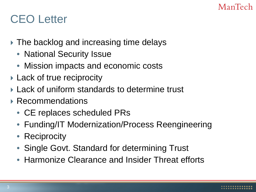### CEO Letter

- The backlog and increasing time delays
	- National Security Issue
	- Mission impacts and economic costs
- **Lack of true reciprocity**
- Lack of uniform standards to determine trust
- ▶ Recommendations
	- CE replaces scheduled PRs
	- Funding/IT Modernization/Process Reengineering
	- Reciprocity
	- Single Govt. Standard for determining Trust
	- Harmonize Clearance and Insider Threat efforts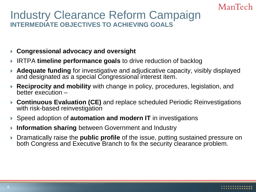#### Industry Clearance Reform Campaign **INTERMEDIATE OBJECTIVES TO ACHIEVING GOALS**

- **Congressional advocacy and oversight**
- IRTPA **timeline performance goals** to drive reduction of backlog
- **Adequate funding** for investigative and adjudicative capacity, visibly displayed and designated as a special Congressional interest item.
- **Reciprocity and mobility** with change in policy, procedures, legislation, and better execution –
- **Continuous Evaluation (CE)** and replace scheduled Periodic Reinvestigations with risk-based reinvestigation
- ▶ Speed adoption of **automation and modern IT** in investigations
- **Information sharing** between Government and Industry
- Dramatically raise the **public profile** of the issue, putting sustained pressure on both Congress and Executive Branch to fix the security clearance problem.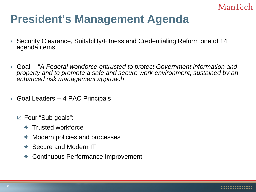### **President's Management Agenda**

- Security Clearance, Suitability/Fitness and Credentialing Reform one of 14 agenda items
- Goal -- "*A Federal workforce entrusted to protect Government information and property and to promote a safe and secure work environment, sustained by an enhanced risk management approach"*
- ▶ Goal Leaders -- 4 PAC Principals
	- $\mathbb Z$  Four "Sub goals":
		- $\leftarrow$  Trusted workforce
		- ← Modern policies and processes
		- ← Secure and Modern IT
		- Continuous Performance Improvement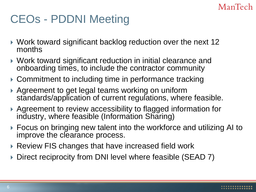### CEOs - PDDNI Meeting

- Work toward significant backlog reduction over the next 12 months
- Work toward significant reduction in initial clearance and onboarding times, to include the contractor community
- ▶ Commitment to including time in performance tracking
- ▶ Agreement to get legal teams working on uniform standards/application of current regulations, where feasible.
- Agreement to review accessibility to flagged information for industry, where feasible (Information Sharing)
- Focus on bringing new talent into the workforce and utilizing AI to improve the clearance process.
- ▶ Review FIS changes that have increased field work
- Direct reciprocity from DNI level where feasible (SEAD 7)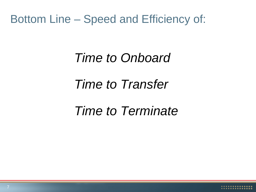#### Bottom Line – Speed and Efficiency of:

# *Time to Onboard Time to Transfer Time to Terminate*